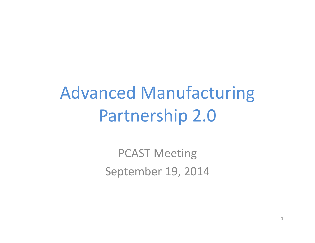# Advanced Manufacturing Partnership 2.0

PCAST Meeting September 19, 2014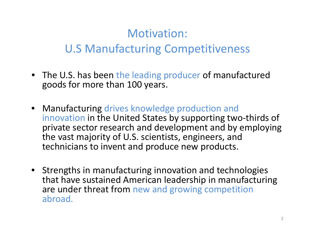## Motivation:U.S Manufacturing Competitiveness

- The U.S. has been the leading producer of manufactured goods for more than 100 years.
- Manufacturing drives knowledge production and innovation in the United States by supporting two-thirds of private sector research and development and by employing the vast majority of U.S. scientists, engineers, and technicians to invent and produce new products.
- Strengths in manufacturing innovation and technologies that have sustained American leadership in manufacturing are under threat from new and growing competition abroad.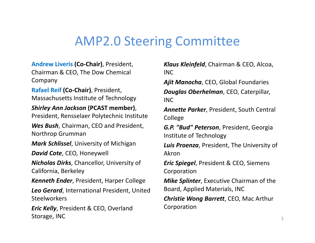#### AMP2.0 Steering Committee

**Andrew Liveris (Co‐Chair)**, President, Chairman & CEO, The Dow Chemical Company

**Rafael Reif (Co‐Chair)**, President, Massachusetts Institute of Technology

#### *Shirley Ann Jackson* **(PCAST member)**,

President, Rensselaer Polytechnic Institute

*Wes Bush*, Chairman, CEO and President, Northrop Grumman

*Mark Schlissel*, University of Michigan

*David Cote*, CEO, Honeywell

*Nicholas Dirks*, Chancellor, University of California, Berkeley

*Kenneth Ender*, President, Harper College

*Leo Gerard*, International President, United **Steelworkers** 

*Eric Kelly*, President & CEO, Overland Storage, INC

*Klaus Kleinfeld*, Chairman & CEO, Alcoa, INC

*Ajit Manocha*, CEO, Global Foundaries

*Douglas Oberhelman*, CEO, Caterpillar, INC

*Annette Parker*, President, South Central College

*G.P. "Bud" Peterson*, President, Georgia Institute of Technology

*Luis Proenza*, President, The University of Akron

*Eric Spiegel*, President & CEO, Siemens Corporation

*Mike Splinter*, Executive Chairman of the Board, Applied Materials, INC

*Christie Wong Barrett*, CEO, Mac Arthur Corporation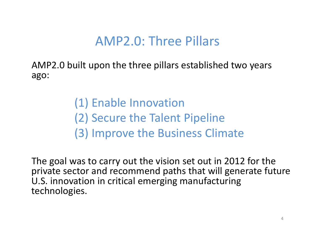### AMP2.0: Three Pillars

AMP2.0 built upon the three pillars established two years ago:

> (1) Enable Innovation (2) Secure the Talent Pipeline (3) Improve the Business Climate

The goal was to carry out the vision set out in 2012 for the private sector and recommend paths that will generate future U.S. innovation in critical emerging manufacturing technologies.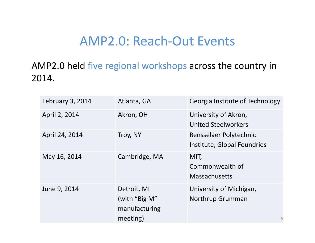#### AMP2.0: Reach‐Out Events

#### AMP2.0 held five regional workshops across the country in 2014.

| February 3, 2014 | Atlanta, GA                                               | Georgia Institute of Technology                       |
|------------------|-----------------------------------------------------------|-------------------------------------------------------|
| April 2, 2014    | Akron, OH                                                 | University of Akron,<br><b>United Steelworkers</b>    |
| April 24, 2014   | Troy, NY                                                  | Rensselaer Polytechnic<br>Institute, Global Foundries |
| May 16, 2014     | Cambridge, MA                                             | MIT,<br>Commonwealth of<br><b>Massachusetts</b>       |
| June 9, 2014     | Detroit, MI<br>(with "Big M"<br>manufacturing<br>meeting) | University of Michigan,<br>Northrup Grumman<br>5      |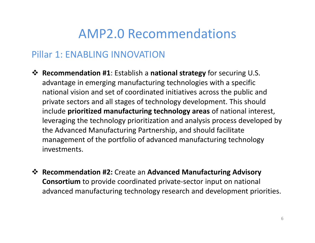#### Pillar 1: ENABLING INNOVATION

- **Recommendation #1**: Establish <sup>a</sup> **national strategy** for securing U.S. advantage in emerging manufacturing technologies with <sup>a</sup> specific national vision and set of coordinated initiatives across the public and private sectors and all stages of technology development. This should include **prioritized manufacturing technology areas** of national interest, leveraging the technology prioritization and analysis process developed by the Advanced Manufacturing Partnership, and should facilitate management of the portfolio of advanced manufacturing technology investments.
- **Recommendation #2:** Create an **Advanced Manufacturing Advisory Consortium** to provide coordinated private‐sector input on national advanced manufacturing technology research and development priorities.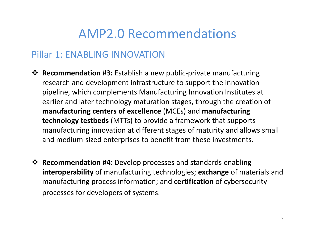#### Pillar 1: ENABLING INNOVATION

- **Recommendation #3:** Establish <sup>a</sup> new public‐private manufacturing research and development infrastructure to support the innovation pipeline, which complements Manufacturing Innovation Institutes at earlier and later technology maturation stages, through the creation of **manufacturing centers of excellence** (MCEs) and **manufacturing technology testbeds** (MTTs) to provide <sup>a</sup> framework that supports manufacturing innovation at different stages of maturity and allows small and medium‐sized enterprises to benefit from these investments.
- **Recommendation #4:** Develop processes and standards enabling **interoperability** of manufacturing technologies; **exchange** of materials and manufacturing process information; and **certification** of cybersecurity processes for developers of systems.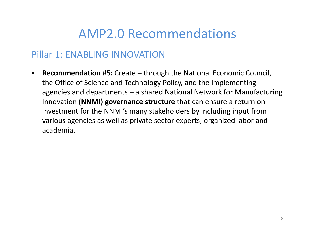#### Pillar 1: ENABLING INNOVATION

• **Recommendation #5:** Create – through the National Economic Council, the Office of Science and Technology Policy, and the implementing agencies and departments – <sup>a</sup> shared National Network for Manufacturing Innovation **(NNMI) governance structure** that can ensure <sup>a</sup> return on investment for the NNMI's many stakeholders by including input from various agencies as well as private sector experts, organized labor and academia.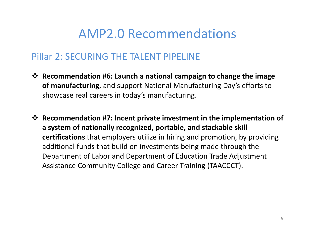#### Pillar 2: SECURING THE TALENT PIPELINE

- **Recommendation #6: Launch <sup>a</sup> national campaign to change the image of manufacturing**, and support National Manufacturing Day's efforts to showcase real careers in today's manufacturing.
- **Recommendation #7: Incent private investment in the implementation of a system of nationally recognized, portable, and stackable skill certifications** that employers utilize in hiring and promotion, by providing additional funds that build on investments being made through the Department of Labor and Department of Education Trade Adjustment Assistance Community College and Career Training (TAACCCT).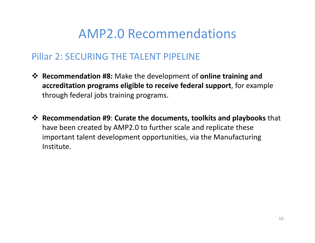#### Pillar 2: SECURING THE TALENT PIPELINE

- **Recommendation #8:** Make the development of **online training and accreditation programs eligible to receive federal support**, for example through federal jobs training programs.
- **Recommendation #9**: **Curate the documents, toolkits and playbooks** that have been created by AMP2.0 to further scale and replicate these important talent development opportunities, via the Manufacturing Institute.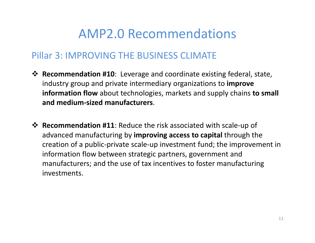#### Pillar 3: IMPROVING THE BUSINESS CLIMATE

- **Recommendation #10**: Leverage and coordinate existing federal, state, industry group and private intermediary organizations to **improve information flow** about technologies, markets and supply chains **to small and medium‐sized manufacturers**.
- **Recommendation #11**: Reduce the risk associated with scale‐up of advanced manufacturing by **improving access to capital** through the creation of <sup>a</sup> public‐private scale‐up investment fund; the improvement in information flow between strategic partners, government and manufacturers; and the use of tax incentives to foster manufacturing investments.